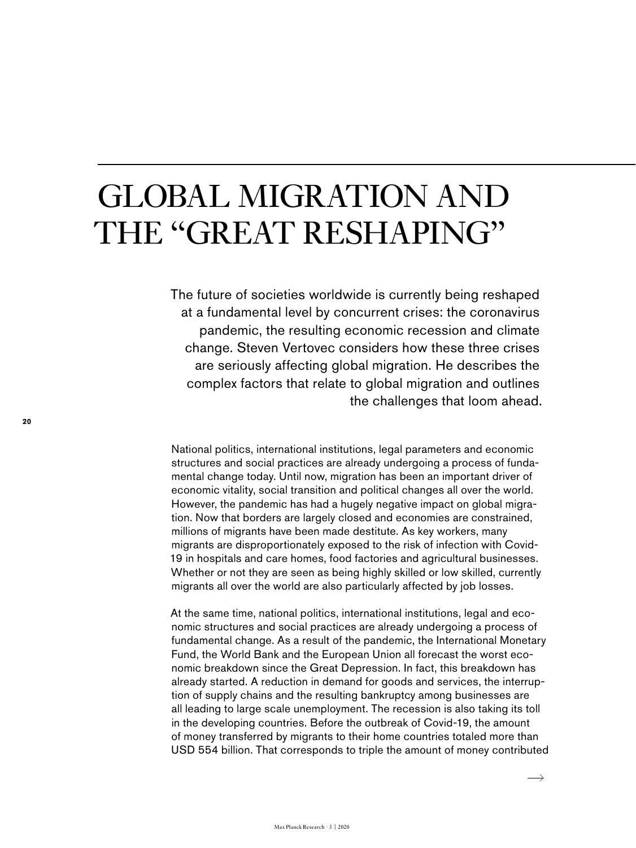## GLOBAL MIGRATION AND THE "GREAT RESHAPING"

The future of societies worldwide is currently being reshaped at a fundamental level by concurrent crises: the coronavirus pandemic, the resulting economic recession and climate change. Steven Vertovec considers how these three crises are seriously affecting global migration. He describes the complex factors that relate to global migration and outlines the challenges that loom ahead.

National politics, international institutions, legal parameters and economic structures and social practices are already undergoing a process of fundamental change today. Until now, migration has been an important driver of economic vitality, social transition and political changes all over the world. However, the pandemic has had a hugely negative impact on global migration. Now that borders are largely closed and economies are constrained, millions of migrants have been made destitute. As key workers, many migrants are disproportionately exposed to the risk of infection with Covid-19 in hospitals and care homes, food factories and agricultural businesses. Whether or not they are seen as being highly skilled or low skilled, currently migrants all over the world are also particularly affected by job losses.

At the same time, national politics, international institutions, legal and economic structures and social practices are already undergoing a process of fundamental change. As a result of the pandemic, the International Monetary Fund, the World Bank and the European Union all forecast the worst economic breakdown since the Great Depression. In fact, this breakdown has already started. A reduction in demand for goods and services, the interruption of supply chains and the resulting bankruptcy among businesses are all leading to large scale unemployment. The recession is also taking its toll in the developing countries. Before the outbreak of Covid-19, the amount of money transferred by migrants to their home countries totaled more than USD 554 billion. That corresponds to triple the amount of money contributed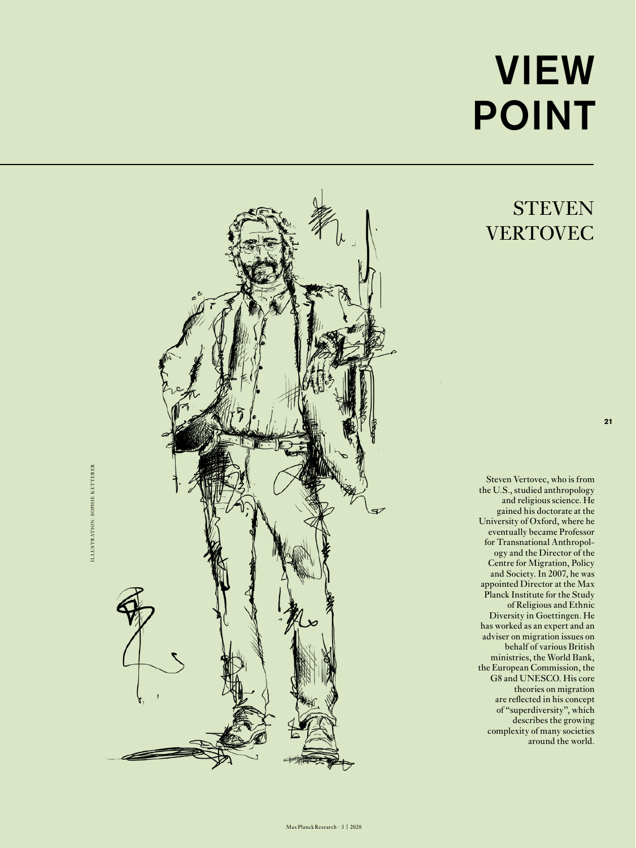## VIEW POINT

## **STEVEN VERTOVEC**

**21**

Steven Vertovec, who is from the U.S., studied anthropology and religious science. He gained his doctorate at the University of Oxford, where he eventually became Professor for Transnational Anthropol ogy and the Director of the Centre for Migration, Policy and Society. In 2007, he was appointed Director at the Max Planck Institute for the Study of Religious and Ethnic Diversity in Goettingen. He has worked as an expert and an adviser on migration issues on behalf of various British ministries, the World Bank, the European Commission, the G8 and UNESCO. His core theories on migration are reflected in his concept of "superdiversity", which describes the growing complexity of many societies around the world.



**KETTERER** ILLUSTRATION: SOPHIE KETTERER ILLUSTRATION: SOPHIE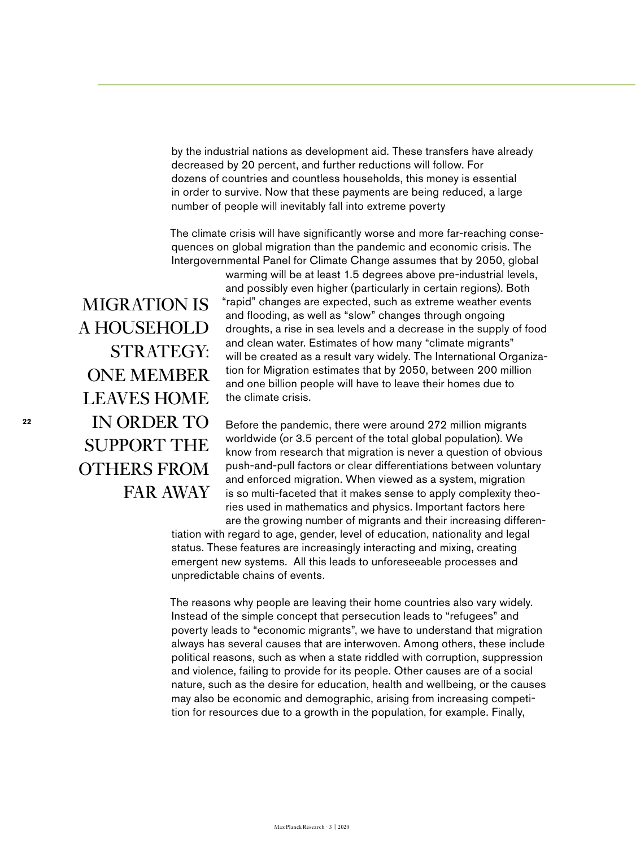by the industrial nations as development aid. These transfers have already decreased by 20 percent, and further reductions will follow. For dozens of countries and countless households, this money is essential in order to survive. Now that these payments are being reduced, a large number of people will inevitably fall into extreme poverty

The climate crisis will have significantly worse and more far-reaching consequences on global migration than the pandemic and economic crisis. The Intergovernmental Panel for Climate Change assumes that by 2050, global

MIGRATION IS A HOUSEHOLD STRATEGY: ONE MEMBER LEAVES HOME IN ORDER TO SUPPORT THE OTHERS FROM FAR AWAY

warming will be at least 1.5 degrees above pre-industrial levels, and possibly even higher (particularly in certain regions). Both "rapid" changes are expected, such as extreme weather events and flooding, as well as "slow" changes through ongoing droughts, a rise in sea levels and a decrease in the supply of food and clean water. Estimates of how many "climate migrants" will be created as a result vary widely. The International Organization for Migration estimates that by 2050, between 200 million and one billion people will have to leave their homes due to the climate crisis.

Before the pandemic, there were around 272 million migrants worldwide (or 3.5 percent of the total global population). We know from research that migration is never a question of obvious push-and-pull factors or clear differentiations between voluntary and enforced migration. When viewed as a system, migration is so multi-faceted that it makes sense to apply complexity theories used in mathematics and physics. Important factors here are the growing number of migrants and their increasing differen-

tiation with regard to age, gender, level of education, nationality and legal status. These features are increasingly interacting and mixing, creating emergent new systems. All this leads to unforeseeable processes and unpredictable chains of events.

The reasons why people are leaving their home countries also vary widely. Instead of the simple concept that persecution leads to "refugees" and poverty leads to "economic migrants", we have to understand that migration always has several causes that are interwoven. Among others, these include political reasons, such as when a state riddled with corruption, suppression and violence, failing to provide for its people. Other causes are of a social nature, such as the desire for education, health and wellbeing, or the causes may also be economic and demographic, arising from increasing competition for resources due to a growth in the population, for example. Finally,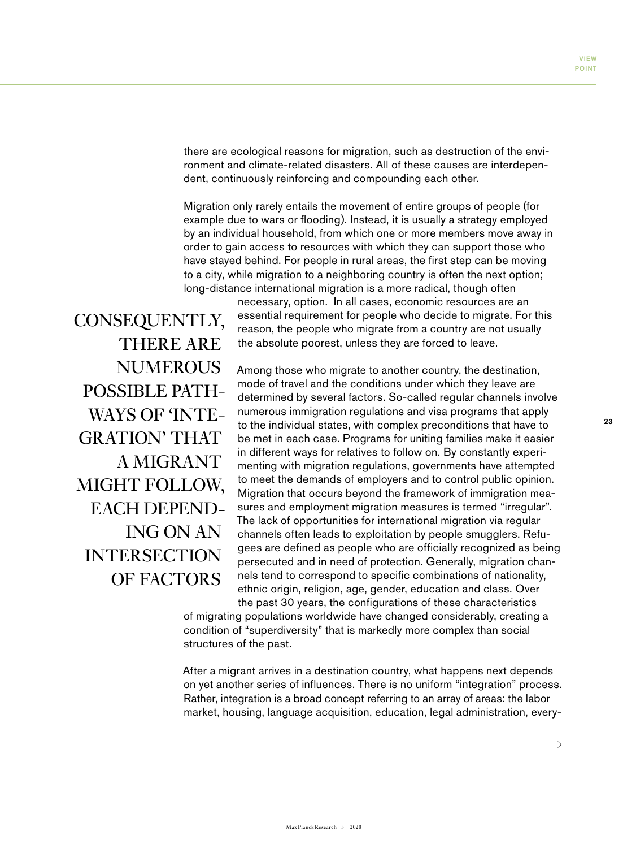there are ecological reasons for migration, such as destruction of the environment and climate-related disasters. All of these causes are interdependent, continuously reinforcing and compounding each other.

Migration only rarely entails the movement of entire groups of people (for example due to wars or flooding). Instead, it is usually a strategy employed by an individual household, from which one or more members move away in order to gain access to resources with which they can support those who have stayed behind. For people in rural areas, the first step can be moving to a city, while migration to a neighboring country is often the next option; long-distance international migration is a more radical, though often

CONSEQUENTLY, THERE ARE **NUMEROUS** POSSIBLE PATH-WAYS OF 'INTE-GRATION' THAT A MIGRANT MIGHT FOLLOW, EACH DEPEND-ING ON AN **INTERSECTION** OF FACTORS

necessary, option. In all cases, economic resources are an essential requirement for people who decide to migrate. For this reason, the people who migrate from a country are not usually the absolute poorest, unless they are forced to leave.

Among those who migrate to another country, the destination, mode of travel and the conditions under which they leave are determined by several factors. So-called regular channels involve numerous immigration regulations and visa programs that apply to the individual states, with complex preconditions that have to be met in each case. Programs for uniting families make it easier in different ways for relatives to follow on. By constantly experimenting with migration regulations, governments have attempted to meet the demands of employers and to control public opinion. Migration that occurs beyond the framework of immigration measures and employment migration measures is termed "irregular". The lack of opportunities for international migration via regular channels often leads to exploitation by people smugglers. Refugees are defined as people who are officially recognized as being persecuted and in need of protection. Generally, migration channels tend to correspond to specific combinations of nationality, ethnic origin, religion, age, gender, education and class. Over the past 30 years, the configurations of these characteristics

of migrating populations worldwide have changed considerably, creating a condition of "superdiversity" that is markedly more complex than social structures of the past.

After a migrant arrives in a destination country, what happens next depends on yet another series of influences. There is no uniform "integration" process. Rather, integration is a broad concept referring to an array of areas: the labor market, housing, language acquisition, education, legal administration, every**23**

 $\rightarrow$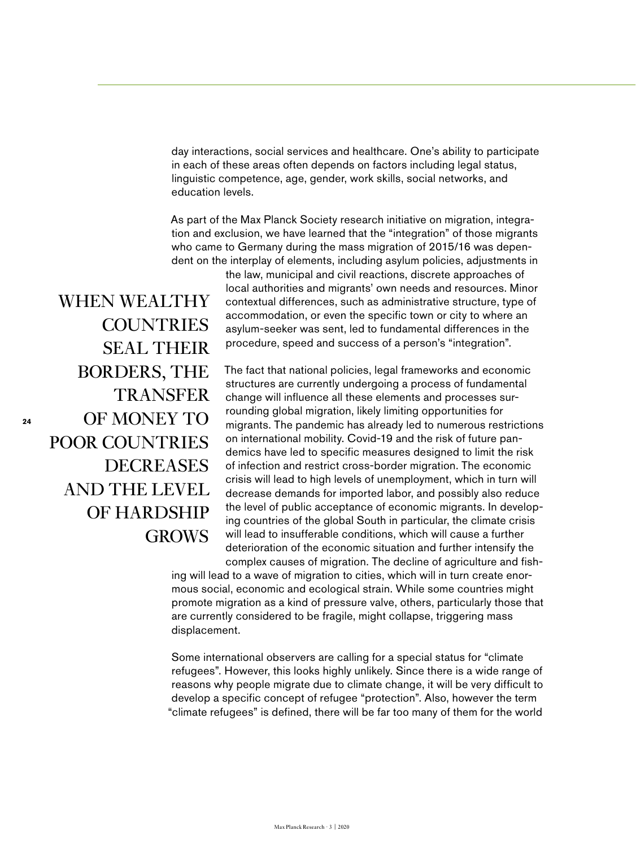day interactions, social services and healthcare. One's ability to participate in each of these areas often depends on factors including legal status, linguistic competence, age, gender, work skills, social networks, and education levels.

As part of the Max Planck Society research initiative on migration, integration and exclusion, we have learned that the "integration" of those migrants who came to Germany during the mass migration of 2015/16 was dependent on the interplay of elements, including asylum policies, adjustments in

> the law, municipal and civil reactions, discrete approaches of local authorities and migrants' own needs and resources. Minor contextual differences, such as administrative structure, type of accommodation, or even the specific town or city to where an asylum-seeker was sent, led to fundamental differences in the procedure, speed and success of a person's "integration".

The fact that national policies, legal frameworks and economic structures are currently undergoing a process of fundamental change will influence all these elements and processes surrounding global migration, likely limiting opportunities for migrants. The pandemic has already led to numerous restrictions on international mobility. Covid-19 and the risk of future pandemics have led to specific measures designed to limit the risk of infection and restrict cross-border migration. The economic crisis will lead to high levels of unemployment, which in turn will decrease demands for imported labor, and possibly also reduce the level of public acceptance of economic migrants. In developing countries of the global South in particular, the climate crisis will lead to insufferable conditions, which will cause a further deterioration of the economic situation and further intensify the complex causes of migration. The decline of agriculture and fish-

ing will lead to a wave of migration to cities, which will in turn create enormous social, economic and ecological strain. While some countries might promote migration as a kind of pressure valve, others, particularly those that are currently considered to be fragile, might collapse, triggering mass displacement.

Some international observers are calling for a special status for "climate refugees". However, this looks highly unlikely. Since there is a wide range of reasons why people migrate due to climate change, it will be very difficult to develop a specific concept of refugee "protection". Also, however the term "climate refugees" is defined, there will be far too many of them for the world

WHEN WEALTHY **COUNTRIES** SEAL THEIR BORDERS, THE TRANSFER OF MONEY TO POOR COUNTRIES DECREASES AND THE LEVEL OF HARDSHIP **GROWS** 

**24**